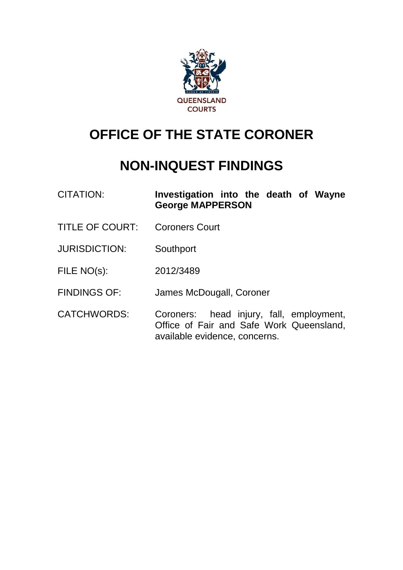

# **OFFICE OF THE STATE CORONER**

## **NON-INQUEST FINDINGS**

CITATION: **Investigation into the death of Wayne George MAPPERSON**

- TITLE OF COURT: Coroners Court
- JURISDICTION: Southport
- FILE NO(s): 2012/3489
- FINDINGS OF: James McDougall, Coroner
- CATCHWORDS: Coroners: head injury, fall, employment, Office of Fair and Safe Work Queensland, available evidence, concerns.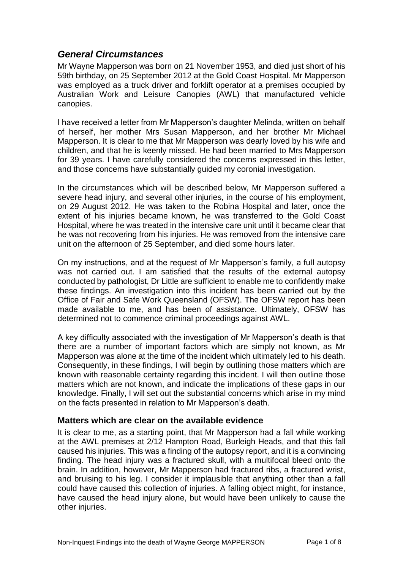### *General Circumstances*

Mr Wayne Mapperson was born on 21 November 1953, and died just short of his 59th birthday, on 25 September 2012 at the Gold Coast Hospital. Mr Mapperson was employed as a truck driver and forklift operator at a premises occupied by Australian Work and Leisure Canopies (AWL) that manufactured vehicle canopies.

I have received a letter from Mr Mapperson's daughter Melinda, written on behalf of herself, her mother Mrs Susan Mapperson, and her brother Mr Michael Mapperson. It is clear to me that Mr Mapperson was dearly loved by his wife and children, and that he is keenly missed. He had been married to Mrs Mapperson for 39 years. I have carefully considered the concerns expressed in this letter, and those concerns have substantially guided my coronial investigation.

In the circumstances which will be described below, Mr Mapperson suffered a severe head injury, and several other injuries, in the course of his employment, on 29 August 2012. He was taken to the Robina Hospital and later, once the extent of his injuries became known, he was transferred to the Gold Coast Hospital, where he was treated in the intensive care unit until it became clear that he was not recovering from his injuries. He was removed from the intensive care unit on the afternoon of 25 September, and died some hours later.

On my instructions, and at the request of Mr Mapperson's family, a full autopsy was not carried out. I am satisfied that the results of the external autopsy conducted by pathologist, Dr Little are sufficient to enable me to confidently make these findings. An investigation into this incident has been carried out by the Office of Fair and Safe Work Queensland (OFSW). The OFSW report has been made available to me, and has been of assistance. Ultimately, OFSW has determined not to commence criminal proceedings against AWL.

A key difficulty associated with the investigation of Mr Mapperson's death is that there are a number of important factors which are simply not known, as Mr Mapperson was alone at the time of the incident which ultimately led to his death. Consequently, in these findings, I will begin by outlining those matters which are known with reasonable certainty regarding this incident. I will then outline those matters which are not known, and indicate the implications of these gaps in our knowledge. Finally, I will set out the substantial concerns which arise in my mind on the facts presented in relation to Mr Mapperson's death.

#### **Matters which are clear on the available evidence**

It is clear to me, as a starting point, that Mr Mapperson had a fall while working at the AWL premises at 2/12 Hampton Road, Burleigh Heads, and that this fall caused his injuries. This was a finding of the autopsy report, and it is a convincing finding. The head injury was a fractured skull, with a multifocal bleed onto the brain. In addition, however, Mr Mapperson had fractured ribs, a fractured wrist, and bruising to his leg. I consider it implausible that anything other than a fall could have caused this collection of injuries. A falling object might, for instance, have caused the head injury alone, but would have been unlikely to cause the other injuries.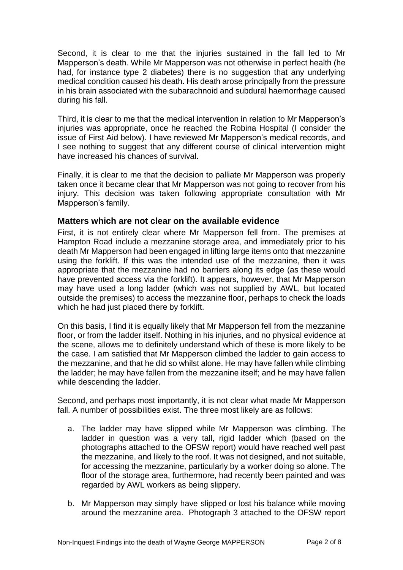Second, it is clear to me that the injuries sustained in the fall led to Mr Mapperson's death. While Mr Mapperson was not otherwise in perfect health (he had, for instance type 2 diabetes) there is no suggestion that any underlying medical condition caused his death. His death arose principally from the pressure in his brain associated with the subarachnoid and subdural haemorrhage caused during his fall.

Third, it is clear to me that the medical intervention in relation to Mr Mapperson's injuries was appropriate, once he reached the Robina Hospital (I consider the issue of First Aid below). I have reviewed Mr Mapperson's medical records, and I see nothing to suggest that any different course of clinical intervention might have increased his chances of survival.

Finally, it is clear to me that the decision to palliate Mr Mapperson was properly taken once it became clear that Mr Mapperson was not going to recover from his injury. This decision was taken following appropriate consultation with Mr Mapperson's family.

#### **Matters which are not clear on the available evidence**

First, it is not entirely clear where Mr Mapperson fell from. The premises at Hampton Road include a mezzanine storage area, and immediately prior to his death Mr Mapperson had been engaged in lifting large items onto that mezzanine using the forklift. If this was the intended use of the mezzanine, then it was appropriate that the mezzanine had no barriers along its edge (as these would have prevented access via the forklift). It appears, however, that Mr Mapperson may have used a long ladder (which was not supplied by AWL, but located outside the premises) to access the mezzanine floor, perhaps to check the loads which he had just placed there by forklift.

On this basis, I find it is equally likely that Mr Mapperson fell from the mezzanine floor, or from the ladder itself. Nothing in his injuries, and no physical evidence at the scene, allows me to definitely understand which of these is more likely to be the case. I am satisfied that Mr Mapperson climbed the ladder to gain access to the mezzanine, and that he did so whilst alone. He may have fallen while climbing the ladder; he may have fallen from the mezzanine itself; and he may have fallen while descending the ladder.

Second, and perhaps most importantly, it is not clear what made Mr Mapperson fall. A number of possibilities exist. The three most likely are as follows:

- a. The ladder may have slipped while Mr Mapperson was climbing. The ladder in question was a very tall, rigid ladder which (based on the photographs attached to the OFSW report) would have reached well past the mezzanine, and likely to the roof. It was not designed, and not suitable, for accessing the mezzanine, particularly by a worker doing so alone. The floor of the storage area, furthermore, had recently been painted and was regarded by AWL workers as being slippery.
- b. Mr Mapperson may simply have slipped or lost his balance while moving around the mezzanine area. Photograph 3 attached to the OFSW report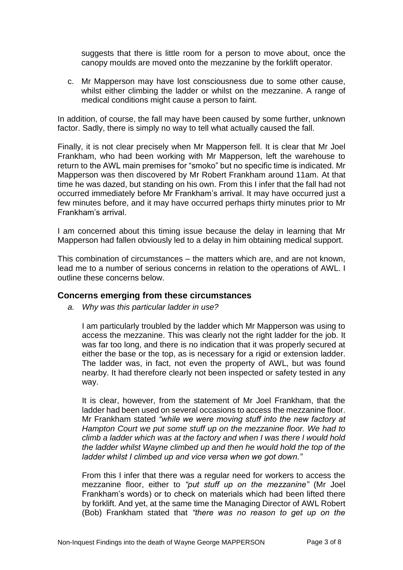suggests that there is little room for a person to move about, once the canopy moulds are moved onto the mezzanine by the forklift operator.

c. Mr Mapperson may have lost consciousness due to some other cause, whilst either climbing the ladder or whilst on the mezzanine. A range of medical conditions might cause a person to faint.

In addition, of course, the fall may have been caused by some further, unknown factor. Sadly, there is simply no way to tell what actually caused the fall.

Finally, it is not clear precisely when Mr Mapperson fell. It is clear that Mr Joel Frankham, who had been working with Mr Mapperson, left the warehouse to return to the AWL main premises for "smoko" but no specific time is indicated. Mr Mapperson was then discovered by Mr Robert Frankham around 11am. At that time he was dazed, but standing on his own. From this I infer that the fall had not occurred immediately before Mr Frankham's arrival. It may have occurred just a few minutes before, and it may have occurred perhaps thirty minutes prior to Mr Frankham's arrival.

I am concerned about this timing issue because the delay in learning that Mr Mapperson had fallen obviously led to a delay in him obtaining medical support.

This combination of circumstances – the matters which are, and are not known, lead me to a number of serious concerns in relation to the operations of AWL. I outline these concerns below.

#### **Concerns emerging from these circumstances**

*a. Why was this particular ladder in use?*

I am particularly troubled by the ladder which Mr Mapperson was using to access the mezzanine. This was clearly not the right ladder for the job. It was far too long, and there is no indication that it was properly secured at either the base or the top, as is necessary for a rigid or extension ladder. The ladder was, in fact, not even the property of AWL, but was found nearby. It had therefore clearly not been inspected or safety tested in any way.

It is clear, however, from the statement of Mr Joel Frankham, that the ladder had been used on several occasions to access the mezzanine floor. Mr Frankham stated *"while we were moving stuff into the new factory at Hampton Court we put some stuff up on the mezzanine floor. We had to climb a ladder which was at the factory and when I was there I would hold the ladder whilst Wayne climbed up and then he would hold the top of the ladder whilst I climbed up and vice versa when we got down."*

From this I infer that there was a regular need for workers to access the mezzanine floor, either to *"put stuff up on the mezzanine"* (Mr Joel Frankham's words) or to check on materials which had been lifted there by forklift. And yet, at the same time the Managing Director of AWL Robert (Bob) Frankham stated that *"there was no reason to get up on the*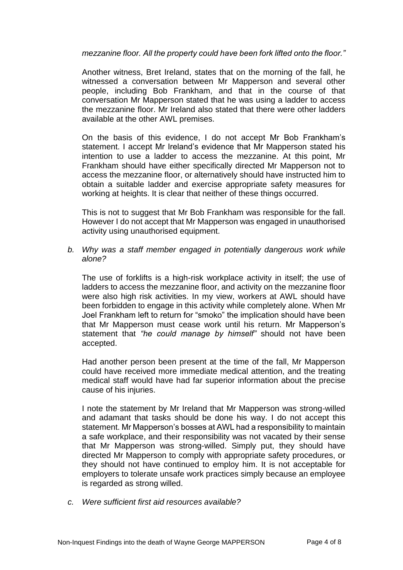#### *mezzanine floor. All the property could have been fork lifted onto the floor."*

Another witness, Bret Ireland, states that on the morning of the fall, he witnessed a conversation between Mr Mapperson and several other people, including Bob Frankham, and that in the course of that conversation Mr Mapperson stated that he was using a ladder to access the mezzanine floor. Mr Ireland also stated that there were other ladders available at the other AWL premises.

On the basis of this evidence, I do not accept Mr Bob Frankham's statement. I accept Mr Ireland's evidence that Mr Mapperson stated his intention to use a ladder to access the mezzanine. At this point, Mr Frankham should have either specifically directed Mr Mapperson not to access the mezzanine floor, or alternatively should have instructed him to obtain a suitable ladder and exercise appropriate safety measures for working at heights. It is clear that neither of these things occurred.

This is not to suggest that Mr Bob Frankham was responsible for the fall. However I do not accept that Mr Mapperson was engaged in unauthorised activity using unauthorised equipment.

#### *b. Why was a staff member engaged in potentially dangerous work while alone?*

The use of forklifts is a high-risk workplace activity in itself; the use of ladders to access the mezzanine floor, and activity on the mezzanine floor were also high risk activities. In my view, workers at AWL should have been forbidden to engage in this activity while completely alone. When Mr Joel Frankham left to return for "smoko" the implication should have been that Mr Mapperson must cease work until his return. Mr Mapperson's statement that *"he could manage by himself"* should not have been accepted.

Had another person been present at the time of the fall, Mr Mapperson could have received more immediate medical attention, and the treating medical staff would have had far superior information about the precise cause of his injuries.

I note the statement by Mr Ireland that Mr Mapperson was strong-willed and adamant that tasks should be done his way. I do not accept this statement. Mr Mapperson's bosses at AWL had a responsibility to maintain a safe workplace, and their responsibility was not vacated by their sense that Mr Mapperson was strong-willed. Simply put, they should have directed Mr Mapperson to comply with appropriate safety procedures, or they should not have continued to employ him. It is not acceptable for employers to tolerate unsafe work practices simply because an employee is regarded as strong willed.

*c. Were sufficient first aid resources available?*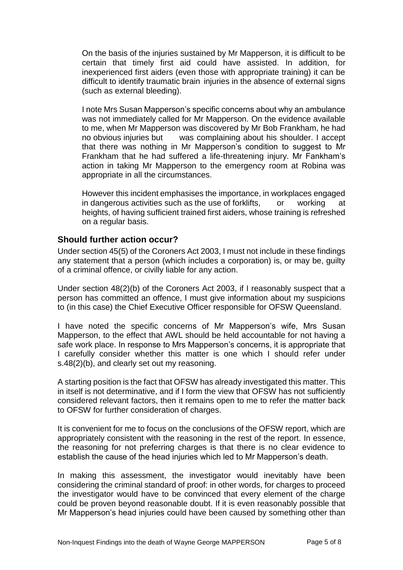On the basis of the injuries sustained by Mr Mapperson, it is difficult to be certain that timely first aid could have assisted. In addition, for inexperienced first aiders (even those with appropriate training) it can be difficult to identify traumatic brain injuries in the absence of external signs (such as external bleeding).

I note Mrs Susan Mapperson's specific concerns about why an ambulance was not immediately called for Mr Mapperson. On the evidence available to me, when Mr Mapperson was discovered by Mr Bob Frankham, he had no obvious injuries but was complaining about his shoulder. I accept that there was nothing in Mr Mapperson's condition to suggest to Mr Frankham that he had suffered a life-threatening injury. Mr Fankham's action in taking Mr Mapperson to the emergency room at Robina was appropriate in all the circumstances.

However this incident emphasises the importance, in workplaces engaged in dangerous activities such as the use of forklifts, or working at heights, of having sufficient trained first aiders, whose training is refreshed on a regular basis.

#### **Should further action occur?**

Under section 45(5) of the Coroners Act 2003, I must not include in these findings any statement that a person (which includes a corporation) is, or may be, guilty of a criminal offence, or civilly liable for any action.

Under section 48(2)(b) of the Coroners Act 2003, if I reasonably suspect that a person has committed an offence, I must give information about my suspicions to (in this case) the Chief Executive Officer responsible for OFSW Queensland.

I have noted the specific concerns of Mr Mapperson's wife, Mrs Susan Mapperson, to the effect that AWL should be held accountable for not having a safe work place. In response to Mrs Mapperson's concerns, it is appropriate that I carefully consider whether this matter is one which I should refer under s.48(2)(b), and clearly set out my reasoning.

A starting position is the fact that OFSW has already investigated this matter. This in itself is not determinative, and if I form the view that OFSW has not sufficiently considered relevant factors, then it remains open to me to refer the matter back to OFSW for further consideration of charges.

It is convenient for me to focus on the conclusions of the OFSW report, which are appropriately consistent with the reasoning in the rest of the report. In essence, the reasoning for not preferring charges is that there is no clear evidence to establish the cause of the head injuries which led to Mr Mapperson's death.

In making this assessment, the investigator would inevitably have been considering the criminal standard of proof: in other words, for charges to proceed the investigator would have to be convinced that every element of the charge could be proven beyond reasonable doubt. If it is even reasonably possible that Mr Mapperson's head injuries could have been caused by something other than